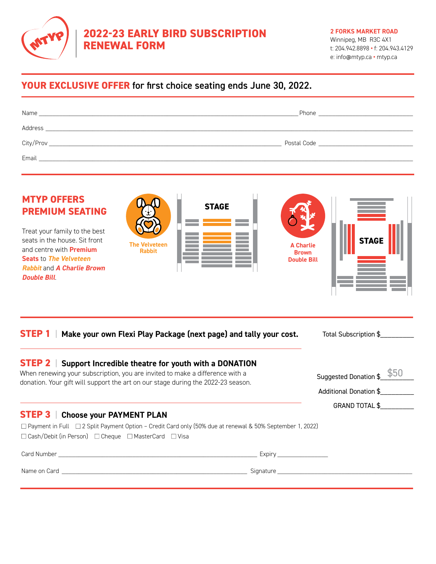

# **2022-23 EARLY BIRD SUBSCRIPTION RENEWAL FORM**

#### **2 FORKS MARKET ROAD**

Winnipeg, MB R3C 4X1 t: 204.942.8898 **•** f: 204.943.4129 e: info@mtyp.ca **•** [mtyp.ca](http://mtyp.ca)

GRAND TOTAL \$\_\_\_\_\_\_\_\_\_

# **YOUR EXCLUSIVE OFFER** for first choice seating ends June 30, 2022.

| Name                                                                                                                              | Phone <b>Example 20</b>                                                                                         |
|-----------------------------------------------------------------------------------------------------------------------------------|-----------------------------------------------------------------------------------------------------------------|
| Address<br><u> 1990 - John Stein, Amerikaans en beskriuwer op de Fryske kanton en oantal en oantal de Fryske kanton en oantal</u> |                                                                                                                 |
| City/Prov                                                                                                                         | Postal Code and the contract of the contract of the contract of the contract of the contract of the contract of |
| Email                                                                                                                             |                                                                                                                 |

| <b>MTYP OFFERS</b><br><b>PREMIUM SEATING</b><br>Treat your family to the best<br>seats in the house. Sit front<br>and centre with <b>Premium</b><br>Seats to The Velveteen<br><b>Rabbit and A Charlie Brown</b><br><b>Double Bill</b> | <b>STAGE</b><br><b>The Velveteen</b><br><b>Rabbit</b>                                                                                                                                                                    | <b>STAGE</b><br><b>A Charlie</b><br><b>Brown</b><br><b>Double Bill</b> |
|---------------------------------------------------------------------------------------------------------------------------------------------------------------------------------------------------------------------------------------|--------------------------------------------------------------------------------------------------------------------------------------------------------------------------------------------------------------------------|------------------------------------------------------------------------|
| <b>STEP1</b>                                                                                                                                                                                                                          | Make your own Flexi Play Package (next page) and tally your cost.                                                                                                                                                        | Total Subscription \$                                                  |
| <b>STEP 2</b>                                                                                                                                                                                                                         | Support Incredible theatre for youth with a DONATION<br>When renewing your subscription, you are invited to make a difference with a<br>donation. Your gift will support the art on our stage during the 2022-23 season. | Suggested Donation \$<br>Additional Donation \$                        |

#### **STEP 3** | **Choose your PAYMENT PLAN**

□ Payment in Full □ 2 Split Payment Option – Credit Card only (50% due at renewal & 50% September 1, 2022)  $\Box$  Cash/Debit (in Person)  $\Box$  Cheque  $\Box$  MasterCard  $\Box$  Visa

Card Number \_\_\_\_\_\_\_\_\_\_\_\_\_\_\_\_\_\_\_\_\_\_\_\_\_\_\_\_\_\_\_\_\_\_\_\_\_\_\_\_\_\_\_\_\_\_\_\_\_\_\_\_\_\_\_\_\_\_\_ Expiry \_\_\_\_\_\_\_\_\_\_\_\_\_\_\_

Name on Card \_\_\_\_\_\_\_\_\_\_\_\_\_\_\_\_\_\_\_\_\_\_\_\_\_\_\_\_\_\_\_\_\_\_\_\_\_\_\_\_\_\_\_\_\_\_\_\_\_\_\_\_\_\_\_ Signature \_\_\_\_\_\_\_\_\_\_\_\_\_\_\_\_\_\_\_\_\_\_\_\_\_\_\_\_\_\_\_\_\_\_\_\_\_\_\_\_